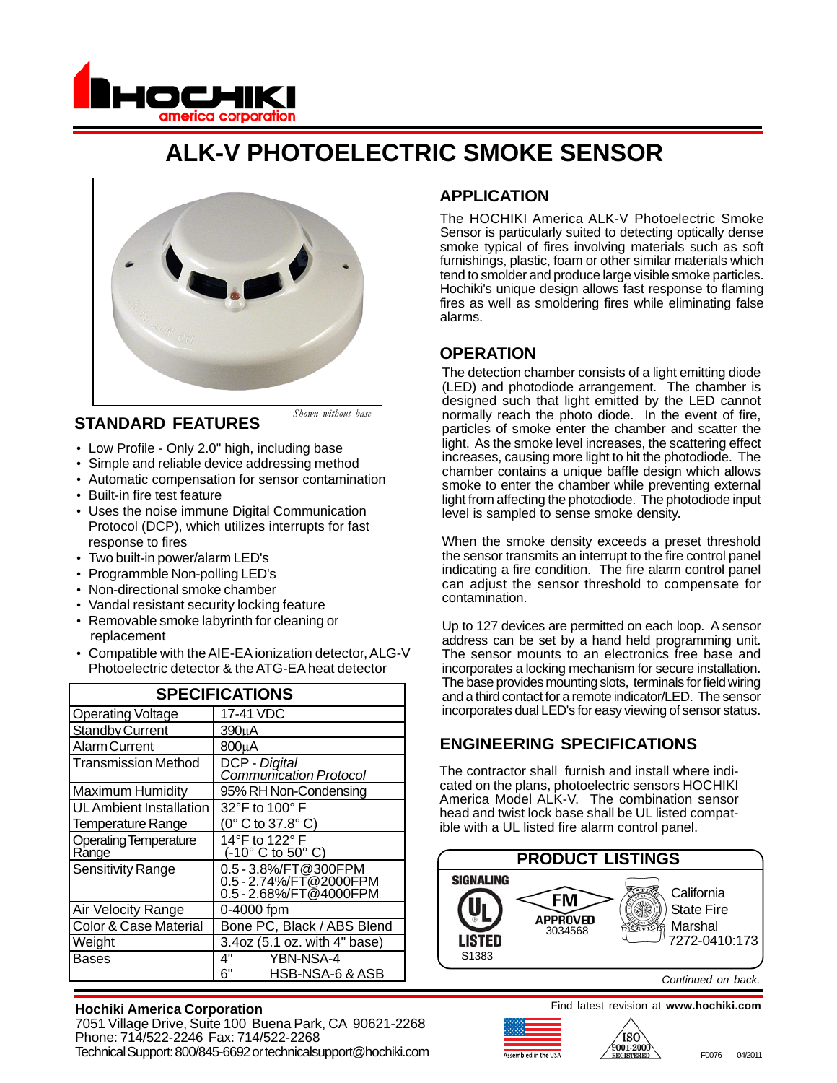

# **ALK-V PHOTOELECTRIC SMOKE SENSOR**



#### **STANDARD FEATURES**

*Shown without base*

- Low Profile Only 2.0" high, including base
- Simple and reliable device addressing method
- Automatic compensation for sensor contamination
- Built-in fire test feature
- Uses the noise immune Digital Communication Protocol (DCP), which utilizes interrupts for fast response to fires
- Two built-in power/alarm LED's
- Programmble Non-polling LED's
- Non-directional smoke chamber
- Vandal resistant security locking feature
- Removable smoke labyrinth for cleaning or replacement
- Compatible with the AIE-EA ionization detector, ALG-V Photoelectric detector & the ATG-EA heat detector

| <b>SPECIFICATIONS</b>                 |                                                                          |
|---------------------------------------|--------------------------------------------------------------------------|
| <b>Operating Voltage</b>              | 17-41 VDC                                                                |
| <b>Standby Current</b>                | 390uA                                                                    |
| <b>Alarm Current</b>                  | 800uA                                                                    |
| <b>Transmission Method</b>            | DCP - Digital<br>Communication Protocol                                  |
| <b>Maximum Humidity</b>               | 95% RH Non-Condensing                                                    |
| UL Ambient Installation               | 32°F to 100°F                                                            |
| Temperature Range                     | (0° C to 37.8° C)                                                        |
| <b>Operating Temperature</b><br>Range | 14°F to 122° F<br>$(-10^{\circ} \text{ C to } 50^{\circ} \text{ C})$     |
| <b>Sensitivity Range</b>              | 0.5 - 3.8%/FT@300FPM<br>0.5 - 2.74%/FT@2000FPM<br>0.5 - 2.68%/FT@4000FPM |
| Air Velocity Range                    | 0-4000 fpm                                                               |
| <b>Color &amp; Case Material</b>      | Bone PC, Black / ABS Blend                                               |
| Weight                                | 3.4oz (5.1 oz. with 4" base)                                             |
| Bases                                 | 4"<br>YBN-NSA-4                                                          |
|                                       | 6"<br>HSB-NSA-6 & ASB                                                    |

#### **Hochiki America Corporation**

7051 Village Drive, Suite 100 Buena Park, CA 90621-2268 Phone: 714/522-2246 Fax: 714/522-2268 Technical Support: 800/845-6692 or technicalsupport@hochiki.com and the state of the state of the state of the state of the state of the state of the state of the state of the state of the state of the state of the state o

# **APPLICATION**

The HOCHIKI America ALK-V Photoelectric Smoke Sensor is particularly suited to detecting optically dense smoke typical of fires involving materials such as soft furnishings, plastic, foam or other similar materials which tend to smolder and produce large visible smoke particles. Hochiki's unique design allows fast response to flaming fires as well as smoldering fires while eliminating false alarms.

#### **OPERATION**

The detection chamber consists of a light emitting diode (LED) and photodiode arrangement. The chamber is designed such that light emitted by the LED cannot normally reach the photo diode. In the event of fire, particles of smoke enter the chamber and scatter the light. As the smoke level increases, the scattering effect increases, causing more light to hit the photodiode. The chamber contains a unique baffle design which allows smoke to enter the chamber while preventing external light from affecting the photodiode. The photodiode input level is sampled to sense smoke density.

When the smoke density exceeds a preset threshold the sensor transmits an interrupt to the fire control panel indicating a fire condition. The fire alarm control panel can adjust the sensor threshold to compensate for contamination.

Up to 127 devices are permitted on each loop. A sensor address can be set by a hand held programming unit. The sensor mounts to an electronics free base and incorporates a locking mechanism for secure installation. The base provides mounting slots, terminals for field wiring and a third contact for a remote indicator/LED. The sensor incorporates dual LED's for easy viewing of sensor status.

### **ENGINEERING SPECIFICATIONS**

The contractor shall furnish and install where indicated on the plans, photoelectric sensors HOCHIKI America Model ALK-V. The combination sensor head and twist lock base shall be UL listed compatible with a UL listed fire alarm control panel.



*Continued on back.*

Find latest revision at **www.hochiki.com**

'iso



F0076